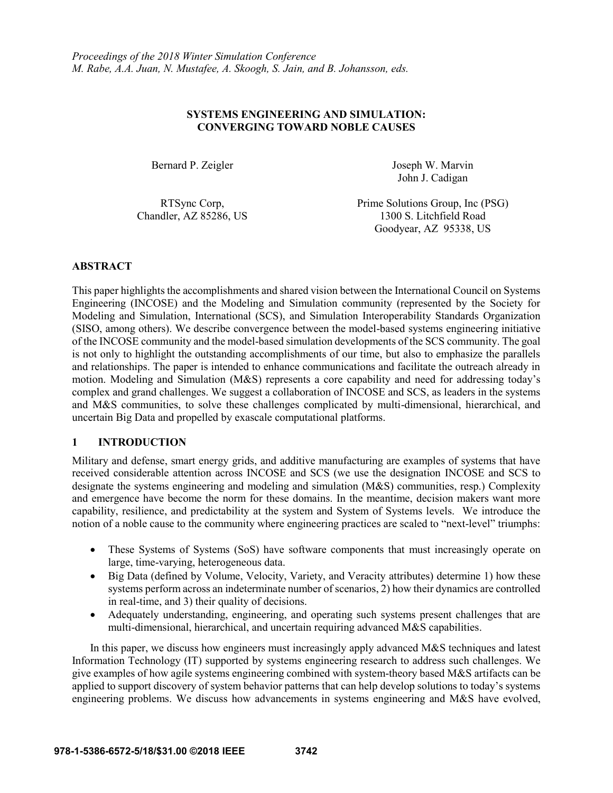# **SYSTEMS ENGINEERING AND SIMULATION: CONVERGING TOWARD NOBLE CAUSES**

Bernard P. Zeigler Joseph W. Marvin

John J. Cadigan

RTSync Corp, Chandler, AZ 85286, US Prime Solutions Group, Inc (PSG) 1300 S. Litchfield Road Goodyear, AZ 95338, US

# **ABSTRACT**

This paper highlights the accomplishments and shared vision between the International Council on Systems Engineering (INCOSE) and the Modeling and Simulation community (represented by the Society for Modeling and Simulation, International (SCS), and Simulation Interoperability Standards Organization (SISO, among others). We describe convergence between the model-based systems engineering initiative of the INCOSE community and the model-based simulation developments of the SCS community. The goal is not only to highlight the outstanding accomplishments of our time, but also to emphasize the parallels and relationships. The paper is intended to enhance communications and facilitate the outreach already in motion. Modeling and Simulation (M&S) represents a core capability and need for addressing today's complex and grand challenges. We suggest a collaboration of INCOSE and SCS, as leaders in the systems and M&S communities, to solve these challenges complicated by multi-dimensional, hierarchical, and uncertain Big Data and propelled by exascale computational platforms.

# **1 INTRODUCTION**

Military and defense, smart energy grids, and additive manufacturing are examples of systems that have received considerable attention across INCOSE and SCS (we use the designation INCOSE and SCS to designate the systems engineering and modeling and simulation (M&S) communities, resp.) Complexity and emergence have become the norm for these domains. In the meantime, decision makers want more capability, resilience, and predictability at the system and System of Systems levels. We introduce the notion of a noble cause to the community where engineering practices are scaled to "next-level" triumphs:

- These Systems of Systems (SoS) have software components that must increasingly operate on large, time-varying, heterogeneous data.
- Big Data (defined by Volume, Velocity, Variety, and Veracity attributes) determine 1) how these systems perform across an indeterminate number of scenarios, 2) how their dynamics are controlled in real-time, and 3) their quality of decisions.
- Adequately understanding, engineering, and operating such systems present challenges that are multi-dimensional, hierarchical, and uncertain requiring advanced M&S capabilities.

In this paper, we discuss how engineers must increasingly apply advanced M&S techniques and latest Information Technology (IT) supported by systems engineering research to address such challenges. We give examples of how agile systems engineering combined with system-theory based M&S artifacts can be applied to support discovery of system behavior patterns that can help develop solutions to today's systems engineering problems. We discuss how advancements in systems engineering and M&S have evolved,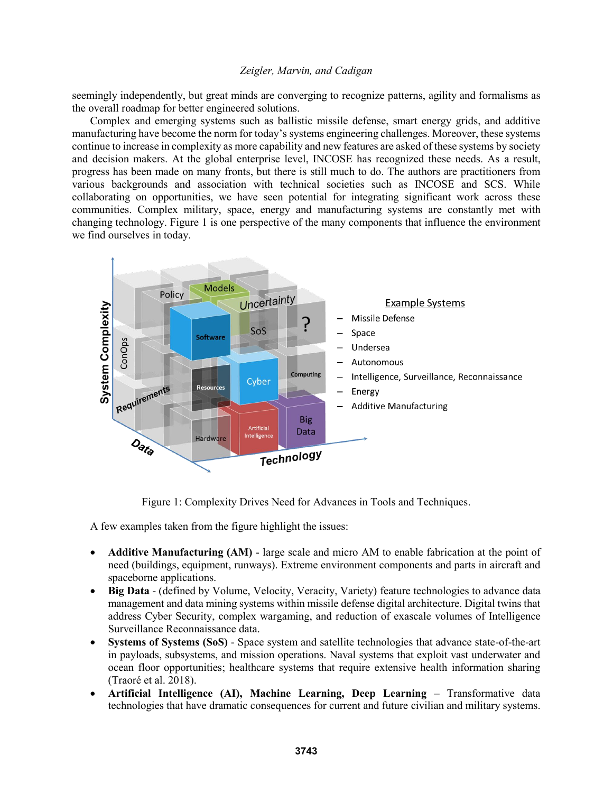seemingly independently, but great minds are converging to recognize patterns, agility and formalisms as the overall roadmap for better engineered solutions.

Complex and emerging systems such as ballistic missile defense, smart energy grids, and additive manufacturing have become the norm for today's systems engineering challenges. Moreover, these systems continue to increase in complexity as more capability and new features are asked of these systems by society and decision makers. At the global enterprise level, INCOSE has recognized these needs. As a result, progress has been made on many fronts, but there is still much to do. The authors are practitioners from various backgrounds and association with technical societies such as INCOSE and SCS. While collaborating on opportunities, we have seen potential for integrating significant work across these communities. Complex military, space, energy and manufacturing systems are constantly met with changing technology. Figure 1 is one perspective of the many components that influence the environment we find ourselves in today.



Figure 1: Complexity Drives Need for Advances in Tools and Techniques.

A few examples taken from the figure highlight the issues:

- **Additive Manufacturing (AM)** large scale and micro AM to enable fabrication at the point of need (buildings, equipment, runways). Extreme environment components and parts in aircraft and spaceborne applications.
- Big Data (defined by Volume, Velocity, Veracity, Variety) feature technologies to advance data management and data mining systems within missile defense digital architecture. Digital twins that address Cyber Security, complex wargaming, and reduction of exascale volumes of Intelligence Surveillance Reconnaissance data.
- **Systems of Systems (SoS)** Space system and satellite technologies that advance state-of-the-art in payloads, subsystems, and mission operations. Naval systems that exploit vast underwater and ocean floor opportunities; healthcare systems that require extensive health information sharing (Traoré et al. 2018).
- **Artificial Intelligence (AI), Machine Learning, Deep Learning**  Transformative data technologies that have dramatic consequences for current and future civilian and military systems.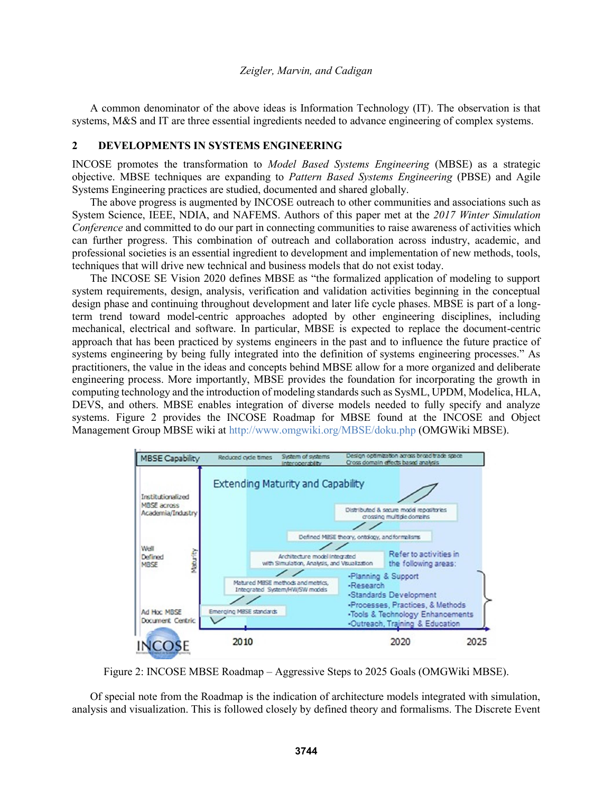A common denominator of the above ideas is Information Technology (IT). The observation is that systems, M&S and IT are three essential ingredients needed to advance engineering of complex systems.

### **2 DEVELOPMENTS IN SYSTEMS ENGINEERING**

INCOSE promotes the transformation to *Model Based Systems Engineering* (MBSE) as a strategic objective. MBSE techniques are expanding to *Pattern Based Systems Engineering* (PBSE) and Agile Systems Engineering practices are studied, documented and shared globally.

The above progress is augmented by INCOSE outreach to other communities and associations such as System Science, IEEE, NDIA, and NAFEMS. Authors of this paper met at the *2017 Winter Simulation Conference* and committed to do our part in connecting communities to raise awareness of activities which can further progress. This combination of outreach and collaboration across industry, academic, and professional societies is an essential ingredient to development and implementation of new methods, tools, techniques that will drive new technical and business models that do not exist today.

The INCOSE SE Vision 2020 defines MBSE as "the formalized application of modeling to support system requirements, design, analysis, verification and validation activities beginning in the conceptual design phase and continuing throughout development and later life cycle phases. MBSE is part of a longterm trend toward model-centric approaches adopted by other engineering disciplines, including mechanical, electrical and software. In particular, MBSE is expected to replace the document-centric approach that has been practiced by systems engineers in the past and to influence the future practice of systems engineering by being fully integrated into the definition of systems engineering processes." As practitioners, the value in the ideas and concepts behind MBSE allow for a more organized and deliberate engineering process. More importantly, MBSE provides the foundation for incorporating the growth in computing technology and the introduction of modeling standards such as SysML, UPDM, Modelica, HLA, DEVS, and others. MBSE enables integration of diverse models needed to fully specify and analyze systems. Figure 2 provides the INCOSE Roadmap for MBSE found at the INCOSE and Object Management Group MBSE wiki at http://www.omgwiki.org/MBSE/doku.php (OMGWiki MBSE).



Figure 2: INCOSE MBSE Roadmap – Aggressive Steps to 2025 Goals (OMGWiki MBSE).

Of special note from the Roadmap is the indication of architecture models integrated with simulation, analysis and visualization. This is followed closely by defined theory and formalisms. The Discrete Event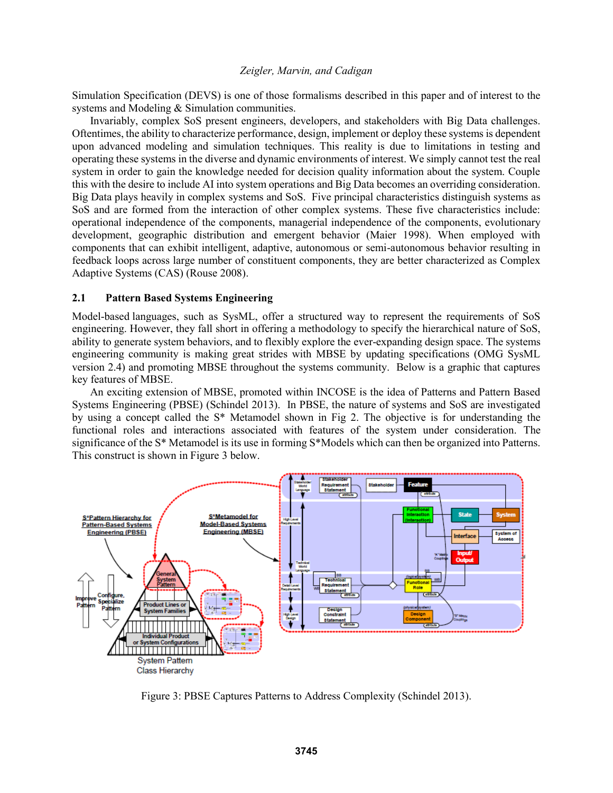Simulation Specification (DEVS) is one of those formalisms described in this paper and of interest to the systems and Modeling & Simulation communities.

Invariably, complex SoS present engineers, developers, and stakeholders with Big Data challenges. Oftentimes, the ability to characterize performance, design, implement or deploy these systems is dependent upon advanced modeling and simulation techniques. This reality is due to limitations in testing and operating these systems in the diverse and dynamic environments of interest. We simply cannot test the real system in order to gain the knowledge needed for decision quality information about the system. Couple this with the desire to include AI into system operations and Big Data becomes an overriding consideration. Big Data plays heavily in complex systems and SoS. Five principal characteristics distinguish systems as SoS and are formed from the interaction of other complex systems. These five characteristics include: operational independence of the components, managerial independence of the components, evolutionary development, geographic distribution and emergent behavior (Maier 1998). When employed with components that can exhibit intelligent, adaptive, autonomous or semi-autonomous behavior resulting in feedback loops across large number of constituent components, they are better characterized as Complex Adaptive Systems (CAS) (Rouse 2008).

# **2.1 Pattern Based Systems Engineering**

Model-based languages, such as SysML, offer a structured way to represent the requirements of SoS engineering. However, they fall short in offering a methodology to specify the hierarchical nature of SoS, ability to generate system behaviors, and to flexibly explore the ever-expanding design space. The systems engineering community is making great strides with MBSE by updating specifications (OMG SysML version 2.4) and promoting MBSE throughout the systems community. Below is a graphic that captures key features of MBSE.

An exciting extension of MBSE, promoted within INCOSE is the idea of Patterns and Pattern Based Systems Engineering (PBSE) (Schindel 2013). In PBSE, the nature of systems and SoS are investigated by using a concept called the S\* Metamodel shown in Fig 2. The objective is for understanding the functional roles and interactions associated with features of the system under consideration. The significance of the S\* Metamodel is its use in forming S\*Models which can then be organized into Patterns. This construct is shown in Figure 3 below.



Figure 3: PBSE Captures Patterns to Address Complexity (Schindel 2013).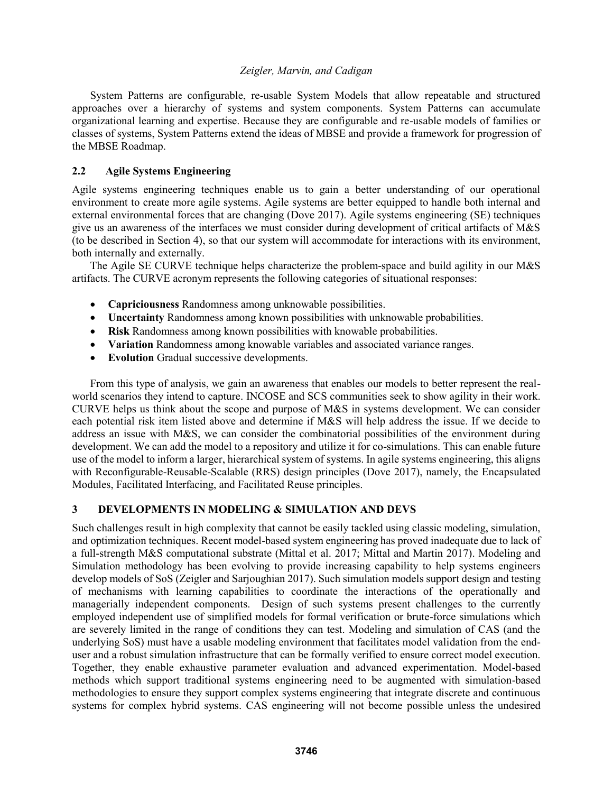System Patterns are configurable, re-usable System Models that allow repeatable and structured approaches over a hierarchy of systems and system components. System Patterns can accumulate organizational learning and expertise. Because they are configurable and re-usable models of families or classes of systems, System Patterns extend the ideas of MBSE and provide a framework for progression of the MBSE Roadmap.

# **2.2 Agile Systems Engineering**

Agile systems engineering techniques enable us to gain a better understanding of our operational environment to create more agile systems. Agile systems are better equipped to handle both internal and external environmental forces that are changing (Dove 2017). Agile systems engineering (SE) techniques give us an awareness of the interfaces we must consider during development of critical artifacts of M&S (to be described in Section 4), so that our system will accommodate for interactions with its environment, both internally and externally.

The Agile SE CURVE technique helps characterize the problem-space and build agility in our M&S artifacts. The CURVE acronym represents the following categories of situational responses:

- **Capriciousness** Randomness among unknowable possibilities.
- **Uncertainty** Randomness among known possibilities with unknowable probabilities.
- **Risk** Randomness among known possibilities with knowable probabilities.
- **Variation** Randomness among knowable variables and associated variance ranges.
- **Evolution** Gradual successive developments.

From this type of analysis, we gain an awareness that enables our models to better represent the realworld scenarios they intend to capture. INCOSE and SCS communities seek to show agility in their work. CURVE helps us think about the scope and purpose of M&S in systems development. We can consider each potential risk item listed above and determine if M&S will help address the issue. If we decide to address an issue with M&S, we can consider the combinatorial possibilities of the environment during development. We can add the model to a repository and utilize it for co-simulations. This can enable future use of the model to inform a larger, hierarchical system of systems. In agile systems engineering, this aligns with Reconfigurable-Reusable-Scalable (RRS) design principles (Dove 2017), namely, the Encapsulated Modules, Facilitated Interfacing, and Facilitated Reuse principles.

# **3 DEVELOPMENTS IN MODELING & SIMULATION AND DEVS**

Such challenges result in high complexity that cannot be easily tackled using classic modeling, simulation, and optimization techniques. Recent model-based system engineering has proved inadequate due to lack of a full-strength M&S computational substrate (Mittal et al. 2017; Mittal and Martin 2017). Modeling and Simulation methodology has been evolving to provide increasing capability to help systems engineers develop models of SoS (Zeigler and Sarjoughian 2017). Such simulation models support design and testing of mechanisms with learning capabilities to coordinate the interactions of the operationally and managerially independent components. Design of such systems present challenges to the currently employed independent use of simplified models for formal verification or brute-force simulations which are severely limited in the range of conditions they can test. Modeling and simulation of CAS (and the underlying SoS) must have a usable modeling environment that facilitates model validation from the enduser and a robust simulation infrastructure that can be formally verified to ensure correct model execution. Together, they enable exhaustive parameter evaluation and advanced experimentation. Model-based methods which support traditional systems engineering need to be augmented with simulation-based methodologies to ensure they support complex systems engineering that integrate discrete and continuous systems for complex hybrid systems. CAS engineering will not become possible unless the undesired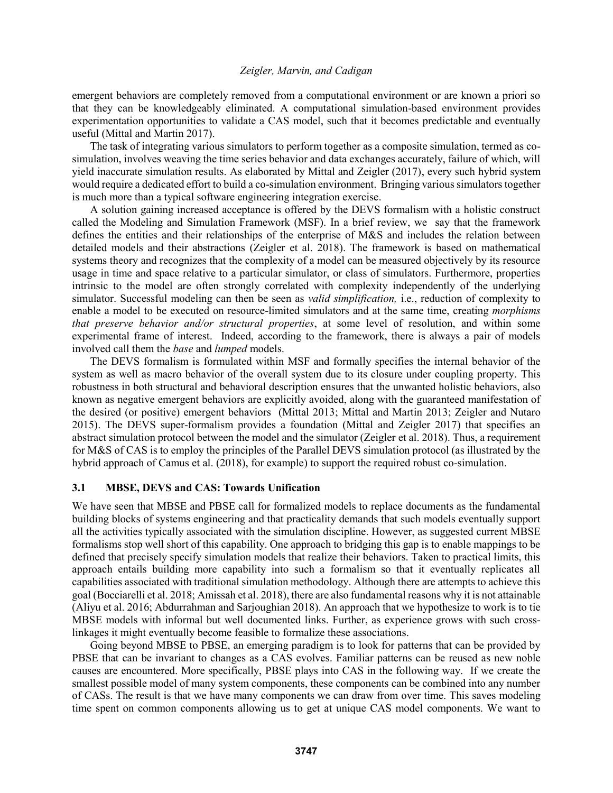emergent behaviors are completely removed from a computational environment or are known a priori so that they can be knowledgeably eliminated. A computational simulation-based environment provides experimentation opportunities to validate a CAS model, such that it becomes predictable and eventually useful (Mittal and Martin 2017).

The task of integrating various simulators to perform together as a composite simulation, termed as cosimulation, involves weaving the time series behavior and data exchanges accurately, failure of which, will yield inaccurate simulation results. As elaborated by Mittal and Zeigler (2017), every such hybrid system would require a dedicated effort to build a co-simulation environment. Bringing various simulators together is much more than a typical software engineering integration exercise.

A solution gaining increased acceptance is offered by the DEVS formalism with a holistic construct called the Modeling and Simulation Framework (MSF). In a brief review, we say that the framework defines the entities and their relationships of the enterprise of M&S and includes the relation between detailed models and their abstractions (Zeigler et al. 2018). The framework is based on mathematical systems theory and recognizes that the complexity of a model can be measured objectively by its resource usage in time and space relative to a particular simulator, or class of simulators. Furthermore, properties intrinsic to the model are often strongly correlated with complexity independently of the underlying simulator. Successful modeling can then be seen as *valid simplification,* i.e., reduction of complexity to enable a model to be executed on resource-limited simulators and at the same time, creating *morphisms that preserve behavior and/or structural properties*, at some level of resolution, and within some experimental frame of interest. Indeed, according to the framework, there is always a pair of models involved call them the *base* and *lumped* models.

The DEVS formalism is formulated within MSF and formally specifies the internal behavior of the system as well as macro behavior of the overall system due to its closure under coupling property. This robustness in both structural and behavioral description ensures that the unwanted holistic behaviors, also known as negative emergent behaviors are explicitly avoided, along with the guaranteed manifestation of the desired (or positive) emergent behaviors (Mittal 2013; Mittal and Martin 2013; Zeigler and Nutaro 2015). The DEVS super-formalism provides a foundation (Mittal and Zeigler 2017) that specifies an abstract simulation protocol between the model and the simulator (Zeigler et al. 2018). Thus, a requirement for M&S of CAS is to employ the principles of the Parallel DEVS simulation protocol (as illustrated by the hybrid approach of Camus et al. (2018), for example) to support the required robust co-simulation.

## **3.1 MBSE, DEVS and CAS: Towards Unification**

We have seen that MBSE and PBSE call for formalized models to replace documents as the fundamental building blocks of systems engineering and that practicality demands that such models eventually support all the activities typically associated with the simulation discipline. However, as suggested current MBSE formalisms stop well short of this capability. One approach to bridging this gap is to enable mappings to be defined that precisely specify simulation models that realize their behaviors. Taken to practical limits, this approach entails building more capability into such a formalism so that it eventually replicates all capabilities associated with traditional simulation methodology. Although there are attempts to achieve this goal (Bocciarelli et al. 2018; Amissah et al. 2018), there are also fundamental reasons why it is not attainable (Aliyu et al. 2016; Abdurrahman and Sarjoughian 2018). An approach that we hypothesize to work is to tie MBSE models with informal but well documented links. Further, as experience grows with such crosslinkages it might eventually become feasible to formalize these associations.

Going beyond MBSE to PBSE, an emerging paradigm is to look for patterns that can be provided by PBSE that can be invariant to changes as a CAS evolves. Familiar patterns can be reused as new noble causes are encountered. More specifically, PBSE plays into CAS in the following way. If we create the smallest possible model of many system components, these components can be combined into any number of CASs. The result is that we have many components we can draw from over time. This saves modeling time spent on common components allowing us to get at unique CAS model components. We want to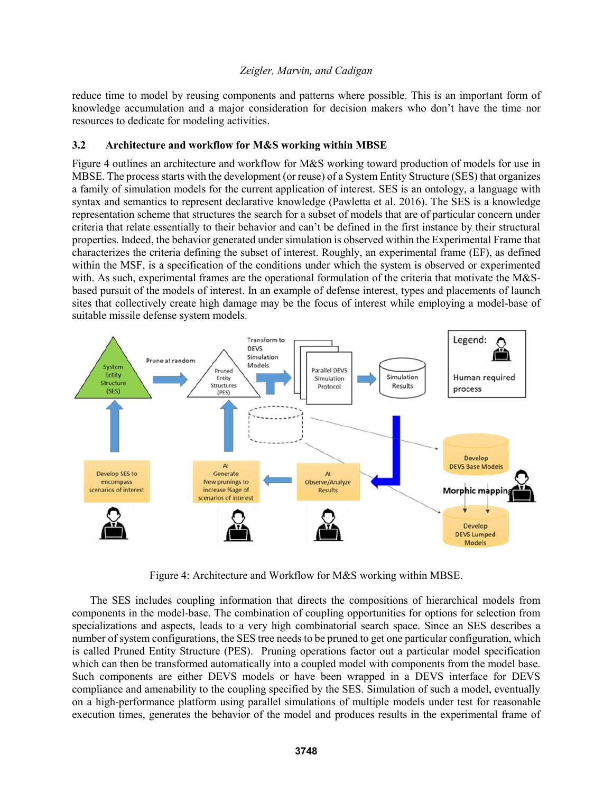reduce time to model by reusing components and patterns where possible. This is an important form of knowledge accumulation and a major consideration for decision makers who don't have the time nor resources to dedicate for modeling activities.

# **3.2 Architecture and workflow for M&S working within MBSE**

Figure 4 outlines an architecture and workflow for M&S working toward production of models for use in MBSE. The process starts with the development (or reuse) of a System Entity Structure (SES) that organizes a family of simulation models for the current application of interest. SES is an ontology, a language with syntax and semantics to represent declarative knowledge (Pawletta et al. 2016). The SES is a knowledge representation scheme that structures the search for a subset of models that are of particular concern under criteria that relate essentially to their behavior and can't be defined in the first instance by their structural properties. Indeed, the behavior generated under simulation is observed within the Experimental Frame that characterizes the criteria defining the subset of interest. Roughly, an experimental frame (EF), as defined within the MSF, is a specification of the conditions under which the system is observed or experimented with. As such, experimental frames are the operational formulation of the criteria that motivate the M&Sbased pursuit of the models of interest. In an example of defense interest, types and placements of launch sites that collectively create high damage may be the focus of interest while employing a model-base of suitable missile defense system models.



Figure 4: Architecture and Workflow for M&S working within MBSE.

The SES includes coupling information that directs the compositions of hierarchical models from components in the model-base. The combination of coupling opportunities for options for selection from specializations and aspects, leads to a very high combinatorial search space. Since an SES describes a number of system configurations, the SES tree needs to be pruned to get one particular configuration, which is called Pruned Entity Structure (PES). Pruning operations factor out a particular model specification which can then be transformed automatically into a coupled model with components from the model base. Such components are either DEVS models or have been wrapped in a DEVS interface for DEVS compliance and amenability to the coupling specified by the SES. Simulation of such a model, eventually on a high-performance platform using parallel simulations of multiple models under test for reasonable execution times, generates the behavior of the model and produces results in the experimental frame of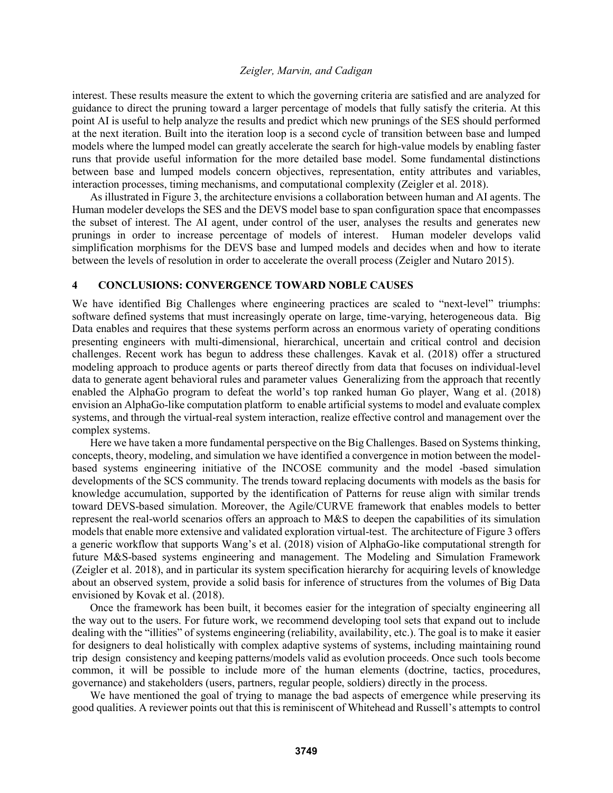interest. These results measure the extent to which the governing criteria are satisfied and are analyzed for guidance to direct the pruning toward a larger percentage of models that fully satisfy the criteria. At this point AI is useful to help analyze the results and predict which new prunings of the SES should performed at the next iteration. Built into the iteration loop is a second cycle of transition between base and lumped models where the lumped model can greatly accelerate the search for high-value models by enabling faster runs that provide useful information for the more detailed base model. Some fundamental distinctions between base and lumped models concern objectives, representation, entity attributes and variables, interaction processes, timing mechanisms, and computational complexity (Zeigler et al. 2018).

As illustrated in Figure 3, the architecture envisions a collaboration between human and AI agents. The Human modeler develops the SES and the DEVS model base to span configuration space that encompasses the subset of interest. The AI agent, under control of the user, analyses the results and generates new prunings in order to increase percentage of models of interest. Human modeler develops valid simplification morphisms for the DEVS base and lumped models and decides when and how to iterate between the levels of resolution in order to accelerate the overall process (Zeigler and Nutaro 2015).

#### **4 CONCLUSIONS: CONVERGENCE TOWARD NOBLE CAUSES**

We have identified Big Challenges where engineering practices are scaled to "next-level" triumphs: software defined systems that must increasingly operate on large, time-varying, heterogeneous data. Big Data enables and requires that these systems perform across an enormous variety of operating conditions presenting engineers with multi-dimensional, hierarchical, uncertain and critical control and decision challenges. Recent work has begun to address these challenges. Kavak et al. (2018) offer a structured modeling approach to produce agents or parts thereof directly from data that focuses on individual-level data to generate agent behavioral rules and parameter values Generalizing from the approach that recently enabled the AlphaGo program to defeat the world's top ranked human Go player, Wang et al. (2018) envision an AlphaGo-like computation platform to enable artificial systems to model and evaluate complex systems, and through the virtual-real system interaction, realize effective control and management over the complex systems.

Here we have taken a more fundamental perspective on the Big Challenges. Based on Systems thinking, concepts, theory, modeling, and simulation we have identified a convergence in motion between the modelbased systems engineering initiative of the INCOSE community and the model -based simulation developments of the SCS community. The trends toward replacing documents with models as the basis for knowledge accumulation, supported by the identification of Patterns for reuse align with similar trends toward DEVS-based simulation. Moreover, the Agile/CURVE framework that enables models to better represent the real-world scenarios offers an approach to M&S to deepen the capabilities of its simulation models that enable more extensive and validated exploration virtual-test. The architecture of Figure 3 offers a generic workflow that supports Wang's et al. (2018) vision of AlphaGo-like computational strength for future M&S-based systems engineering and management. The Modeling and Simulation Framework (Zeigler et al. 2018), and in particular its system specification hierarchy for acquiring levels of knowledge about an observed system, provide a solid basis for inference of structures from the volumes of Big Data envisioned by Kovak et al. (2018).

Once the framework has been built, it becomes easier for the integration of specialty engineering all the way out to the users. For future work, we recommend developing tool sets that expand out to include dealing with the "illities" of systems engineering (reliability, availability, etc.). The goal is to make it easier for designers to deal holistically with complex adaptive systems of systems, including maintaining round trip design consistency and keeping patterns/models valid as evolution proceeds. Once such tools become common, it will be possible to include more of the human elements (doctrine, tactics, procedures, governance) and stakeholders (users, partners, regular people, soldiers) directly in the process.

We have mentioned the goal of trying to manage the bad aspects of emergence while preserving its good qualities. A reviewer points out that this is reminiscent of Whitehead and Russell's attempts to control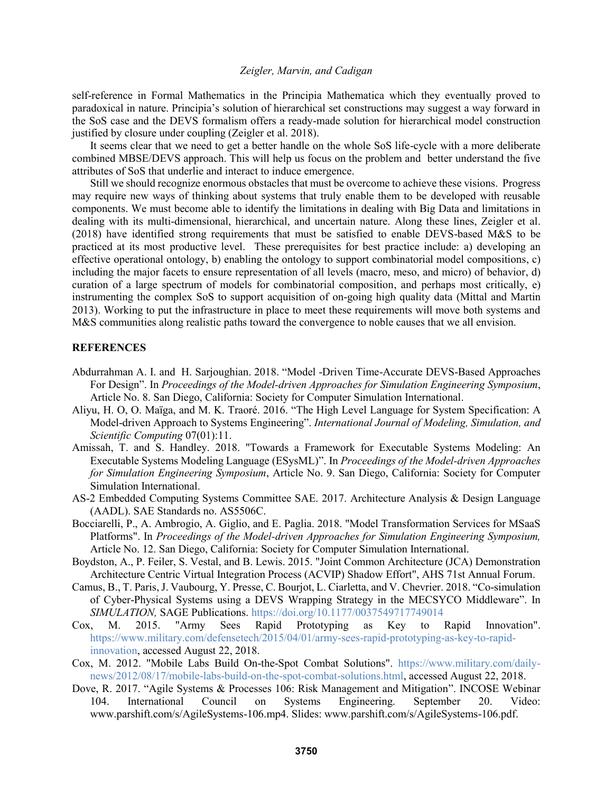self-reference in Formal Mathematics in the Principia Mathematica which they eventually proved to paradoxical in nature. Principia's solution of hierarchical set constructions may suggest a way forward in the SoS case and the DEVS formalism offers a ready-made solution for hierarchical model construction justified by closure under coupling (Zeigler et al. 2018).

It seems clear that we need to get a better handle on the whole SoS life-cycle with a more deliberate combined MBSE/DEVS approach. This will help us focus on the problem and better understand the five attributes of SoS that underlie and interact to induce emergence.

Still we should recognize enormous obstacles that must be overcome to achieve these visions. Progress may require new ways of thinking about systems that truly enable them to be developed with reusable components. We must become able to identify the limitations in dealing with Big Data and limitations in dealing with its multi-dimensional, hierarchical, and uncertain nature. Along these lines, Zeigler et al. (2018) have identified strong requirements that must be satisfied to enable DEVS-based M&S to be practiced at its most productive level. These prerequisites for best practice include: a) developing an effective operational ontology, b) enabling the ontology to support combinatorial model compositions, c) including the major facets to ensure representation of all levels (macro, meso, and micro) of behavior, d) curation of a large spectrum of models for combinatorial composition, and perhaps most critically, e) instrumenting the complex SoS to support acquisition of on-going high quality data (Mittal and Martin 2013). Working to put the infrastructure in place to meet these requirements will move both systems and M&S communities along realistic paths toward the convergence to noble causes that we all envision.

## **REFERENCES**

- Abdurrahman A. I. and H. Sarjoughian. 2018. "Model -Driven Time-Accurate DEVS-Based Approaches For Design". In *Proceedings of the Model-driven Approaches for Simulation Engineering Symposium*, Article No. 8. San Diego, California: Society for Computer Simulation International.
- Aliyu, H. O, O. Maïga, and M. K. Traoré. 2016. "The High Level Language for System Specification: A Model-driven Approach to Systems Engineering". *International Journal of Modeling, Simulation, and Scientific Computing* 07(01):11.
- Amissah, T. and S. Handley. 2018. "Towards a Framework for Executable Systems Modeling: An Executable Systems Modeling Language (ESysML)". In *Proceedings of the Model-driven Approaches for Simulation Engineering Symposium*, Article No. 9. San Diego, California: Society for Computer Simulation International.
- AS-2 Embedded Computing Systems Committee SAE. 2017. Architecture Analysis & Design Language (AADL). SAE Standards no. AS5506C.
- Bocciarelli, P., A. Ambrogio, A. Giglio, and E. Paglia. 2018. "Model Transformation Services for MSaaS Platforms". In *Proceedings of the Model-driven Approaches for Simulation Engineering Symposium,* Article No. 12. San Diego, California: Society for Computer Simulation International.
- Boydston, A., P. Feiler, S. Vestal, and B. Lewis. 2015. "Joint Common Architecture (JCA) Demonstration Architecture Centric Virtual Integration Process (ACVIP) Shadow Effort", AHS 71st Annual Forum.
- Camus, B., T. Paris, J. Vaubourg, Y. Presse, C. Bourjot, L. Ciarletta, and V. Chevrier. 2018. "Co-simulation of Cyber-Physical Systems using a DEVS Wrapping Strategy in the MECSYCO Middleware". In *SIMULATION,* SAGE Publications. https://doi.org/10.1177/0037549717749014
- Cox, M. 2015. "Army Sees Rapid Prototyping as Key to Rapid Innovation". https://www.military.com/defensetech/2015/04/01/army-sees-rapid-prototyping-as-key-to-rapidinnovation, accessed August 22, 2018.
- Cox, M. 2012. "Mobile Labs Build On-the-Spot Combat Solutions". https://www.military.com/dailynews/2012/08/17/mobile-labs-build-on-the-spot-combat-solutions.html, accessed August 22, 2018.
- Dove, R. 2017. "Agile Systems & Processes 106: Risk Management and Mitigation". INCOSE Webinar 104. International Council on Systems Engineering. September 20. Video: www.parshift.com/s/AgileSystems-106.mp4. Slides: www.parshift.com/s/AgileSystems-106.pdf.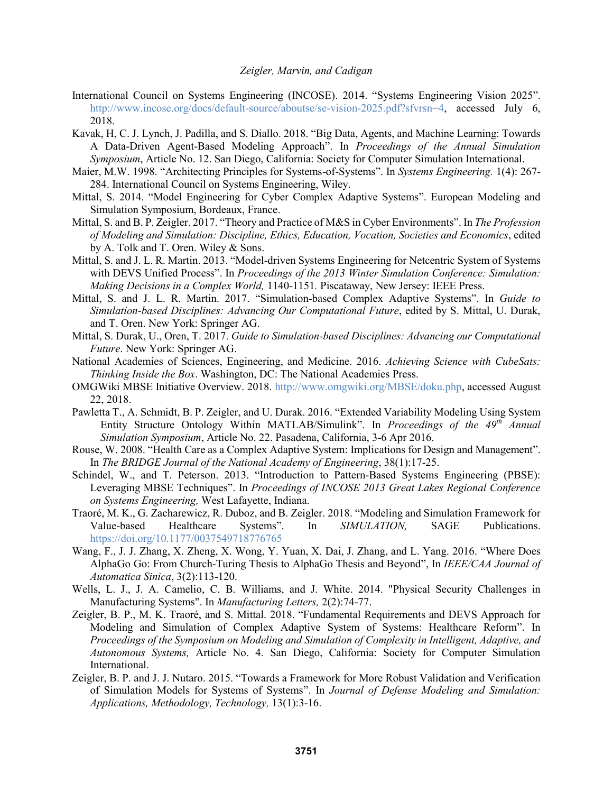- International Council on Systems Engineering (INCOSE). 2014. "Systems Engineering Vision 2025". http://www.incose.org/docs/default-source/aboutse/se-vision-2025.pdf?sfvrsn=4, accessed July 6, 2018.
- Kavak, H, C. J. Lynch, J. Padilla, and S. Diallo. 2018. "Big Data, Agents, and Machine Learning: Towards A Data-Driven Agent-Based Modeling Approach". In *Proceedings of the Annual Simulation Symposium*, Article No. 12. San Diego, California: Society for Computer Simulation International.
- Maier, M.W. 1998. "Architecting Principles for Systems-of-Systems". In *Systems Engineering.* 1(4): 267- 284. International Council on Systems Engineering, Wiley.
- Mittal, S. 2014. "Model Engineering for Cyber Complex Adaptive Systems". European Modeling and Simulation Symposium, Bordeaux, France.
- Mittal, S. and B. P. Zeigler. 2017. "Theory and Practice of M&S in Cyber Environments". In *The Profession of Modeling and Simulation: Discipline, Ethics, Education, Vocation, Societies and Economics*, edited by A. Tolk and T. Oren. Wiley & Sons.
- Mittal, S. and J. L. R. Martin. 2013. "Model-driven Systems Engineering for Netcentric System of Systems with DEVS Unified Process". In *Proceedings of the 2013 Winter Simulation Conference: Simulation: Making Decisions in a Complex World,* 1140-1151*.* Piscataway, New Jersey: IEEE Press.
- Mittal, S. and J. L. R. Martin. 2017. "Simulation-based Complex Adaptive Systems". In *Guide to Simulation-based Disciplines: Advancing Our Computational Future*, edited by S. Mittal, U. Durak, and T. Oren. New York: Springer AG.
- Mittal, S. Durak, U., Oren, T. 2017. *Guide to Simulation-based Disciplines: Advancing our Computational Future*. New York: Springer AG.
- National Academies of Sciences, Engineering, and Medicine. 2016. *Achieving Science with CubeSats: Thinking Inside the Box*. Washington, DC: The National Academies Press.
- OMGWiki MBSE Initiative Overview. 2018. http://www.omgwiki.org/MBSE/doku.php, accessed August 22, 2018.
- Pawletta T., A. Schmidt, B. P. Zeigler, and U. Durak. 2016. "Extended Variability Modeling Using System Entity Structure Ontology Within MATLAB/Simulink". In *Proceedings of the 49th Annual Simulation Symposium*, Article No. 22. Pasadena, California, 3-6 Apr 2016.
- Rouse, W. 2008. "Health Care as a Complex Adaptive System: Implications for Design and Management". In *The BRIDGE Journal of the National Academy of Engineering*, 38(1):17-25.
- Schindel, W., and T. Peterson. 2013. "Introduction to Pattern-Based Systems Engineering (PBSE): Leveraging MBSE Techniques". In *Proceedings of INCOSE 2013 Great Lakes Regional Conference on Systems Engineering,* West Lafayette, Indiana.
- Traoré, M. K., G. Zacharewicz, R. Duboz, and B. Zeigler. 2018. "Modeling and Simulation Framework for Value-based Healthcare Systems". In *SIMULATION,* SAGE Publications. https://doi.org/10.1177/0037549718776765
- Wang, F., J. J. Zhang, X. Zheng, X. Wong, Y. Yuan, X. Dai, J. Zhang, and L. Yang. 2016. "Where Does AlphaGo Go: From Church-Turing Thesis to AlphaGo Thesis and Beyond", In *IEEE/CAA Journal of Automatica Sinica*, 3(2):113-120.
- Wells, L. J., J. A. Camelio, C. B. Williams, and J. White. 2014. "Physical Security Challenges in Manufacturing Systems". In *Manufacturing Letters,* 2(2):74-77.
- Zeigler, B. P., M. K. Traoré, and S. Mittal. 2018. "Fundamental Requirements and DEVS Approach for Modeling and Simulation of Complex Adaptive System of Systems: Healthcare Reform". In *Proceedings of the Symposium on Modeling and Simulation of Complexity in Intelligent, Adaptive, and Autonomous Systems,* Article No. 4. San Diego, California: Society for Computer Simulation International.
- Zeigler, B. P. and J. J. Nutaro. 2015. "Towards a Framework for More Robust Validation and Verification of Simulation Models for Systems of Systems". In *Journal of Defense Modeling and Simulation: Applications, Methodology, Technology,* 13(1):3-16.